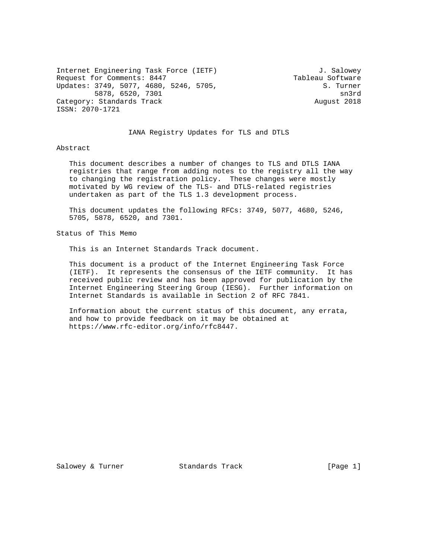Internet Engineering Task Force (IETF)  $J.$  Salowey<br>Request for Comments: 8447 Tableau Software Request for Comments: 8447<br>Updates: 3749, 5077, 4680, 5246, 5705, Tableau Software Updates: 3749, 5077, 4680, 5246, 5705, S. Turner<br>5878, 6520, 7301<br>sn3rd 5878, 6520, 7301 Category: Standards Track August 2018 ISSN: 2070-1721

### IANA Registry Updates for TLS and DTLS

### Abstract

 This document describes a number of changes to TLS and DTLS IANA registries that range from adding notes to the registry all the way to changing the registration policy. These changes were mostly motivated by WG review of the TLS- and DTLS-related registries undertaken as part of the TLS 1.3 development process.

 This document updates the following RFCs: 3749, 5077, 4680, 5246, 5705, 5878, 6520, and 7301.

Status of This Memo

This is an Internet Standards Track document.

 This document is a product of the Internet Engineering Task Force (IETF). It represents the consensus of the IETF community. It has received public review and has been approved for publication by the Internet Engineering Steering Group (IESG). Further information on Internet Standards is available in Section 2 of RFC 7841.

 Information about the current status of this document, any errata, and how to provide feedback on it may be obtained at https://www.rfc-editor.org/info/rfc8447.

Salowey & Turner Standards Track (Page 1)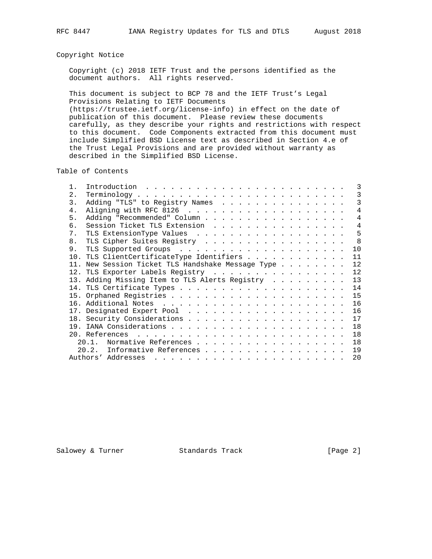# Copyright Notice

 Copyright (c) 2018 IETF Trust and the persons identified as the document authors. All rights reserved.

 This document is subject to BCP 78 and the IETF Trust's Legal Provisions Relating to IETF Documents (https://trustee.ietf.org/license-info) in effect on the date of publication of this document. Please review these documents carefully, as they describe your rights and restrictions with respect to this document. Code Components extracted from this document must include Simplified BSD License text as described in Section 4.e of the Trust Legal Provisions and are provided without warranty as described in the Simplified BSD License.

Table of Contents

|                |                                                                                                                                                                                                                                                      | 3              |
|----------------|------------------------------------------------------------------------------------------------------------------------------------------------------------------------------------------------------------------------------------------------------|----------------|
| 2.             |                                                                                                                                                                                                                                                      | 3              |
| 3.             | Adding "TLS" to Registry Names                                                                                                                                                                                                                       | 3              |
| 4.             |                                                                                                                                                                                                                                                      | $\overline{4}$ |
| 5.             | Adding "Recommended" Column                                                                                                                                                                                                                          | $\overline{4}$ |
| б.             | Session Ticket TLS Extension                                                                                                                                                                                                                         | 4              |
| 7 <sup>1</sup> |                                                                                                                                                                                                                                                      | 5              |
| 8.             | TLS Cipher Suites Registry                                                                                                                                                                                                                           | - 8            |
| 9.             |                                                                                                                                                                                                                                                      | 10             |
|                | 10. TLS ClientCertificateType Identifiers                                                                                                                                                                                                            | 11             |
|                | 11. New Session Ticket TLS Handshake Message Type                                                                                                                                                                                                    | 12             |
|                | 12. TLS Exporter Labels Registry                                                                                                                                                                                                                     | 12             |
|                | 13. Adding Missing Item to TLS Alerts Registry                                                                                                                                                                                                       | 13             |
|                |                                                                                                                                                                                                                                                      | 14             |
|                |                                                                                                                                                                                                                                                      | 15             |
|                |                                                                                                                                                                                                                                                      | 16             |
|                |                                                                                                                                                                                                                                                      | 16             |
|                |                                                                                                                                                                                                                                                      | 17             |
|                |                                                                                                                                                                                                                                                      | 18             |
|                |                                                                                                                                                                                                                                                      | 18             |
|                | Normative References<br>20 1                                                                                                                                                                                                                         | 18             |
|                | Informative References<br>20.2.                                                                                                                                                                                                                      | 19             |
|                | Authors' Addresses<br>and the contract of the contract of the contract of the contract of the contract of the contract of the contract of the contract of the contract of the contract of the contract of the contract of the contract of the contra | 20             |
|                |                                                                                                                                                                                                                                                      |                |

Salowey & Turner Standards Track (Page 2)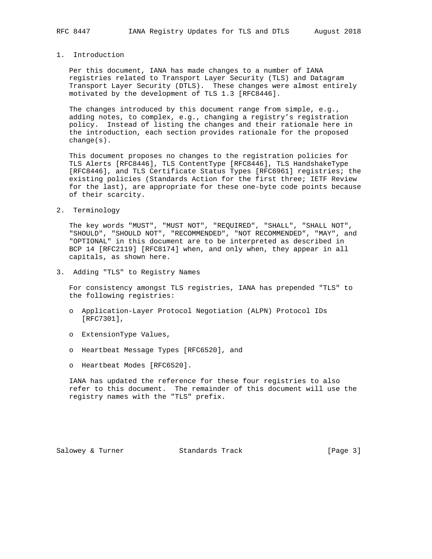## 1. Introduction

 Per this document, IANA has made changes to a number of IANA registries related to Transport Layer Security (TLS) and Datagram Transport Layer Security (DTLS). These changes were almost entirely motivated by the development of TLS 1.3 [RFC8446].

 The changes introduced by this document range from simple, e.g., adding notes, to complex, e.g., changing a registry's registration policy. Instead of listing the changes and their rationale here in the introduction, each section provides rationale for the proposed change(s).

 This document proposes no changes to the registration policies for TLS Alerts [RFC8446], TLS ContentType [RFC8446], TLS HandshakeType [RFC8446], and TLS Certificate Status Types [RFC6961] registries; the existing policies (Standards Action for the first three; IETF Review for the last), are appropriate for these one-byte code points because of their scarcity.

2. Terminology

 The key words "MUST", "MUST NOT", "REQUIRED", "SHALL", "SHALL NOT", "SHOULD", "SHOULD NOT", "RECOMMENDED", "NOT RECOMMENDED", "MAY", and "OPTIONAL" in this document are to be interpreted as described in BCP 14 [RFC2119] [RFC8174] when, and only when, they appear in all capitals, as shown here.

3. Adding "TLS" to Registry Names

 For consistency amongst TLS registries, IANA has prepended "TLS" to the following registries:

- o Application-Layer Protocol Negotiation (ALPN) Protocol IDs [RFC7301],
- o ExtensionType Values,
- o Heartbeat Message Types [RFC6520], and
- o Heartbeat Modes [RFC6520].

 IANA has updated the reference for these four registries to also refer to this document. The remainder of this document will use the registry names with the "TLS" prefix.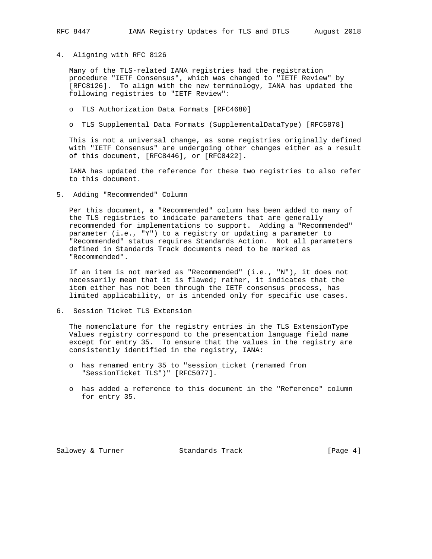4. Aligning with RFC 8126

 Many of the TLS-related IANA registries had the registration procedure "IETF Consensus", which was changed to "IETF Review" by [RFC8126]. To align with the new terminology, IANA has updated the following registries to "IETF Review":

- o TLS Authorization Data Formats [RFC4680]
- o TLS Supplemental Data Formats (SupplementalDataType) [RFC5878]

 This is not a universal change, as some registries originally defined with "IETF Consensus" are undergoing other changes either as a result of this document, [RFC8446], or [RFC8422].

 IANA has updated the reference for these two registries to also refer to this document.

5. Adding "Recommended" Column

 Per this document, a "Recommended" column has been added to many of the TLS registries to indicate parameters that are generally recommended for implementations to support. Adding a "Recommended" parameter (i.e., "Y") to a registry or updating a parameter to "Recommended" status requires Standards Action. Not all parameters defined in Standards Track documents need to be marked as "Recommended".

 If an item is not marked as "Recommended" (i.e., "N"), it does not necessarily mean that it is flawed; rather, it indicates that the item either has not been through the IETF consensus process, has limited applicability, or is intended only for specific use cases.

6. Session Ticket TLS Extension

 The nomenclature for the registry entries in the TLS ExtensionType Values registry correspond to the presentation language field name except for entry 35. To ensure that the values in the registry are consistently identified in the registry, IANA:

- o has renamed entry 35 to "session\_ticket (renamed from "SessionTicket TLS")" [RFC5077].
- o has added a reference to this document in the "Reference" column for entry 35.

Salowey & Turner Standards Track [Page 4]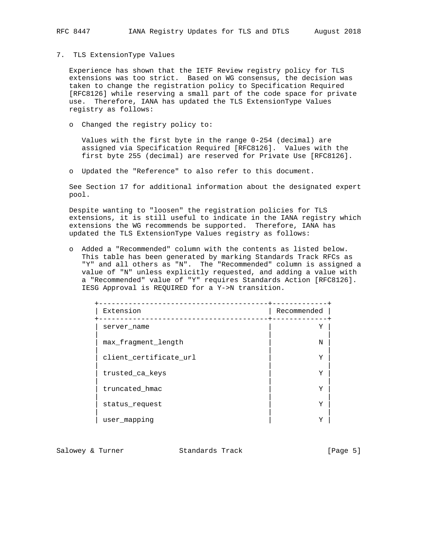#### 7. TLS ExtensionType Values

 Experience has shown that the IETF Review registry policy for TLS extensions was too strict. Based on WG consensus, the decision was taken to change the registration policy to Specification Required [RFC8126] while reserving a small part of the code space for private use. Therefore, IANA has updated the TLS ExtensionType Values registry as follows:

o Changed the registry policy to:

 Values with the first byte in the range 0-254 (decimal) are assigned via Specification Required [RFC8126]. Values with the first byte 255 (decimal) are reserved for Private Use [RFC8126].

o Updated the "Reference" to also refer to this document.

 See Section 17 for additional information about the designated expert pool.

 Despite wanting to "loosen" the registration policies for TLS extensions, it is still useful to indicate in the IANA registry which extensions the WG recommends be supported. Therefore, IANA has updated the TLS ExtensionType Values registry as follows:

 o Added a "Recommended" column with the contents as listed below. This table has been generated by marking Standards Track RFCs as "Y" and all others as "N". The "Recommended" column is assigned a value of "N" unless explicitly requested, and adding a value with a "Recommended" value of "Y" requires Standards Action [RFC8126]. IESG Approval is REQUIRED for a Y->N transition.

| Extension              | Recommended |
|------------------------|-------------|
| server name            | Y           |
| max fragment length    | N           |
| client_certificate_url | Y           |
| trusted ca keys        | Y           |
| truncated hmac         | Y           |
| status request         | Y           |
| user mapping           | Y           |

Salowey & Turner Standards Track [Page 5]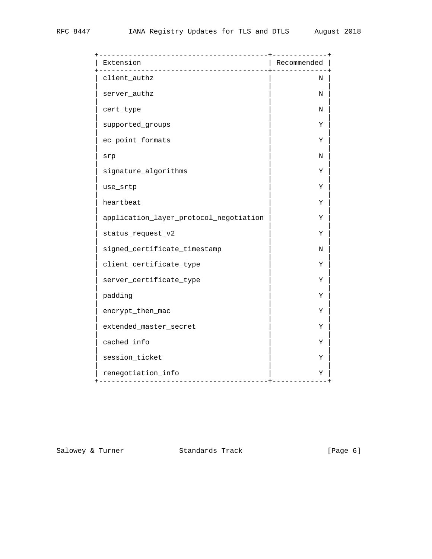| Extension                              | -----------<br>Recommended |
|----------------------------------------|----------------------------|
| client_authz                           | Ν                          |
| server_authz                           | Ν                          |
| cert_type                              | N                          |
| supported_groups                       | Υ                          |
| ec_point_formats                       | Υ                          |
| srp                                    | N                          |
| signature_algorithms                   | Υ                          |
| use_srtp                               | Υ                          |
| heartbeat                              | Υ                          |
| application_layer_protocol_negotiation | Υ                          |
| status_request_v2                      | Υ                          |
| signed_certificate_timestamp           | Ν                          |
| client_certificate_type                | Υ                          |
| server_certificate_type                | Υ                          |
| padding                                | Υ                          |
| encrypt_then_mac                       | Υ                          |
| extended_master_secret                 | Υ                          |
| cached_info                            | Υ                          |
| session_ticket                         | Υ                          |
| renegotiation_info                     | Υ                          |

Salowey & Turner Standards Track [Page 6]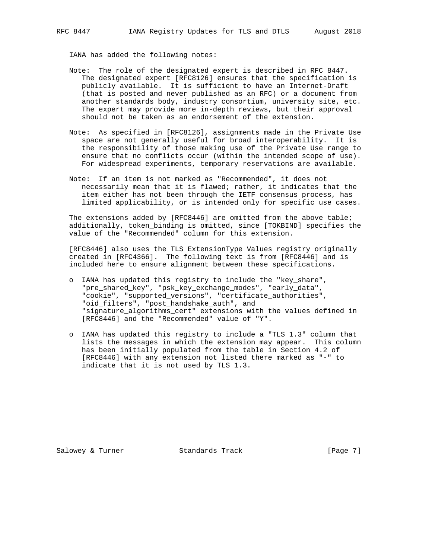IANA has added the following notes:

- Note: The role of the designated expert is described in RFC 8447. The designated expert [RFC8126] ensures that the specification is publicly available. It is sufficient to have an Internet-Draft (that is posted and never published as an RFC) or a document from another standards body, industry consortium, university site, etc. The expert may provide more in-depth reviews, but their approval should not be taken as an endorsement of the extension.
- Note: As specified in [RFC8126], assignments made in the Private Use space are not generally useful for broad interoperability. It is the responsibility of those making use of the Private Use range to ensure that no conflicts occur (within the intended scope of use). For widespread experiments, temporary reservations are available.
- Note: If an item is not marked as "Recommended", it does not necessarily mean that it is flawed; rather, it indicates that the item either has not been through the IETF consensus process, has limited applicability, or is intended only for specific use cases.

The extensions added by [RFC8446] are omitted from the above table; additionally, token\_binding is omitted, since [TOKBIND] specifies the value of the "Recommended" column for this extension.

 [RFC8446] also uses the TLS ExtensionType Values registry originally created in [RFC4366]. The following text is from [RFC8446] and is included here to ensure alignment between these specifications.

- o IANA has updated this registry to include the "key\_share", "pre\_shared\_key", "psk\_key\_exchange\_modes", "early\_data", "cookie", "supported\_versions", "certificate\_authorities", "oid\_filters", "post\_handshake\_auth", and "signature\_algorithms\_cert" extensions with the values defined in [RFC8446] and the "Recommended" value of "Y".
- o IANA has updated this registry to include a "TLS 1.3" column that lists the messages in which the extension may appear. This column has been initially populated from the table in Section 4.2 of [RFC8446] with any extension not listed there marked as "-" to indicate that it is not used by TLS 1.3.

Salowey & Turner Standards Track [Page 7]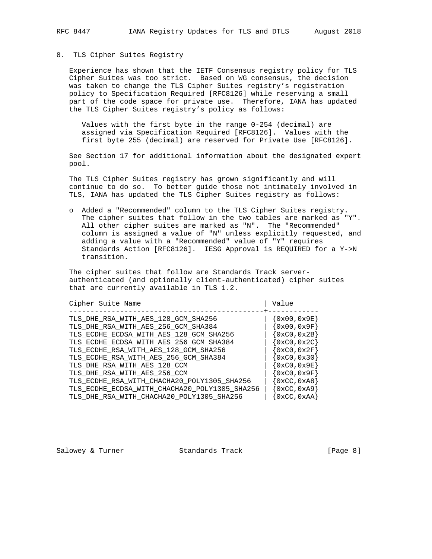### 8. TLS Cipher Suites Registry

 Experience has shown that the IETF Consensus registry policy for TLS Cipher Suites was too strict. Based on WG consensus, the decision was taken to change the TLS Cipher Suites registry's registration policy to Specification Required [RFC8126] while reserving a small part of the code space for private use. Therefore, IANA has updated the TLS Cipher Suites registry's policy as follows:

 Values with the first byte in the range 0-254 (decimal) are assigned via Specification Required [RFC8126]. Values with the first byte 255 (decimal) are reserved for Private Use [RFC8126].

 See Section 17 for additional information about the designated expert pool.

 The TLS Cipher Suites registry has grown significantly and will continue to do so. To better guide those not intimately involved in TLS, IANA has updated the TLS Cipher Suites registry as follows:

 o Added a "Recommended" column to the TLS Cipher Suites registry. The cipher suites that follow in the two tables are marked as "Y". All other cipher suites are marked as "N". The "Recommended" column is assigned a value of "N" unless explicitly requested, and adding a value with a "Recommended" value of "Y" requires Standards Action [RFC8126]. IESG Approval is REQUIRED for a Y->N transition.

 The cipher suites that follow are Standards Track server authenticated (and optionally client-authenticated) cipher suites that are currently available in TLS 1.2.

| Cipher Suite Name                             | Value                          |
|-----------------------------------------------|--------------------------------|
| TLS DHE RSA WITH AES 128 GCM SHA256           | ${0x00,0x9E}$                  |
| TLS_DHE_RSA_WITH_AES_256_GCM_SHA384           | ${0x00,0x9F}$                  |
| TLS_ECDHE_ECDSA_WITH_AES_128_GCM_SHA256       | $\{0 \times C0, 0 \times 2B\}$ |
| TLS ECDHE ECDSA WITH AES 256 GCM SHA384       | $\{0 \times C0, 0 \times 2C\}$ |
| TLS ECDHE RSA WITH AES 128 GCM SHA256         | $\{0 \times C0, 0 \times 2F\}$ |
| TLS_ECDHE_RSA_WITH_AES_256_GCM_SHA384         | $\{0 \times C0, 0 \times 30\}$ |
| TLS DHE RSA WITH AES 128 CCM                  | $\{0 \times C0, 0 \times 9E\}$ |
| TLS_DHE_RSA_WITH_AES_256_CCM                  | $\{0 \times C0, 0 \times 9F\}$ |
| TLS_ECDHE_RSA_WITH_CHACHA20_POLY1305_SHA256   | $\{0 \times CC, 0 \times A8\}$ |
| TLS_ECDHE_ECDSA_WITH_CHACHA20_POLY1305_SHA256 | $\{0 \times CC, 0 \times A9\}$ |
| TLS_DHE_RSA_WITH_CHACHA20_POLY1305_SHA256     | $\set{0xCC, 0xAA}$             |

Salowey & Turner Standards Track (Page 8)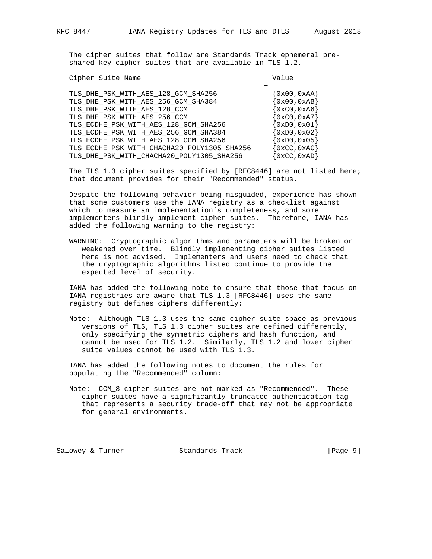The cipher suites that follow are Standards Track ephemeral pre-

shared key cipher suites that are available in TLS 1.2.

| Cipher Suite Name                                                                                                                                                                                                                                                     | Value                                                                                                                                                  |
|-----------------------------------------------------------------------------------------------------------------------------------------------------------------------------------------------------------------------------------------------------------------------|--------------------------------------------------------------------------------------------------------------------------------------------------------|
| TLS DHE PSK WITH AES 128 GCM SHA256<br>TLS_DHE_PSK_WITH_AES_256_GCM_SHA384<br>TLS_DHE_PSK_WITH_AES_128_CCM<br>TLS DHE PSK WITH AES 256 CCM<br>TLS_ECDHE_PSK_WITH_AES_128_GCM_SHA256<br>TLS_ECDHE_PSK_WITH_AES_256_GCM_SHA384<br>TLS_ECDHE_PSK_WITH_AES_128_CCM_SHA256 | $\{0x00, 0xAA\}$<br>$\{0x00, 0xAB\}$<br>$\{0xC0, 0xA6\}$<br>$\{0xC0, 0xA7\}$<br>$\{0 \times D0, 0 \times 01\}$<br>$\{0xD0, 0x02\}$<br>$\{0xD0, 0x05\}$ |
| TLS_ECDHE_PSK_WITH_CHACHA20_POLY1305_SHA256<br>TLS_DHE_PSK_WITH_CHACHA20_POLY1305_SHA256                                                                                                                                                                              | $\{0 \times CC, 0 \times AC\}$<br>$\{0 \times CC, 0 \times AD\}$                                                                                       |

 The TLS 1.3 cipher suites specified by [RFC8446] are not listed here; that document provides for their "Recommended" status.

 Despite the following behavior being misguided, experience has shown that some customers use the IANA registry as a checklist against which to measure an implementation's completeness, and some implementers blindly implement cipher suites. Therefore, IANA has added the following warning to the registry:

 WARNING: Cryptographic algorithms and parameters will be broken or weakened over time. Blindly implementing cipher suites listed here is not advised. Implementers and users need to check that the cryptographic algorithms listed continue to provide the expected level of security.

 IANA has added the following note to ensure that those that focus on IANA registries are aware that TLS 1.3 [RFC8446] uses the same registry but defines ciphers differently:

 Note: Although TLS 1.3 uses the same cipher suite space as previous versions of TLS, TLS 1.3 cipher suites are defined differently, only specifying the symmetric ciphers and hash function, and cannot be used for TLS 1.2. Similarly, TLS 1.2 and lower cipher suite values cannot be used with TLS 1.3.

 IANA has added the following notes to document the rules for populating the "Recommended" column:

 Note: CCM\_8 cipher suites are not marked as "Recommended". These cipher suites have a significantly truncated authentication tag that represents a security trade-off that may not be appropriate for general environments.

Salowey & Turner Standards Track (Page 9)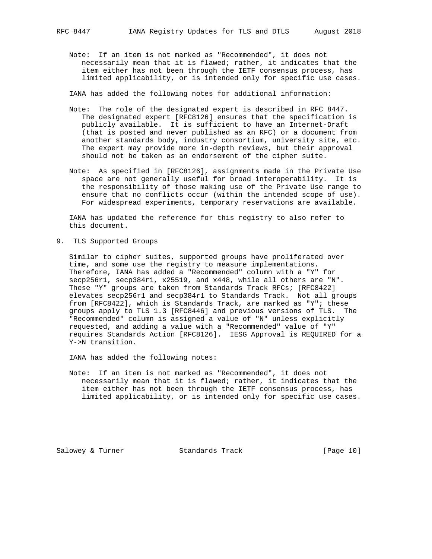Note: If an item is not marked as "Recommended", it does not necessarily mean that it is flawed; rather, it indicates that the item either has not been through the IETF consensus process, has limited applicability, or is intended only for specific use cases.

IANA has added the following notes for additional information:

- Note: The role of the designated expert is described in RFC 8447. The designated expert [RFC8126] ensures that the specification is publicly available. It is sufficient to have an Internet-Draft (that is posted and never published as an RFC) or a document from another standards body, industry consortium, university site, etc. The expert may provide more in-depth reviews, but their approval should not be taken as an endorsement of the cipher suite.
- Note: As specified in [RFC8126], assignments made in the Private Use space are not generally useful for broad interoperability. It is the responsibility of those making use of the Private Use range to ensure that no conflicts occur (within the intended scope of use). For widespread experiments, temporary reservations are available.

 IANA has updated the reference for this registry to also refer to this document.

9. TLS Supported Groups

 Similar to cipher suites, supported groups have proliferated over time, and some use the registry to measure implementations. Therefore, IANA has added a "Recommended" column with a "Y" for secp256r1, secp384r1, x25519, and x448, while all others are "N". These "Y" groups are taken from Standards Track RFCs; [RFC8422] elevates secp256r1 and secp384r1 to Standards Track. Not all groups from [RFC8422], which is Standards Track, are marked as "Y"; these groups apply to TLS 1.3 [RFC8446] and previous versions of TLS. The "Recommended" column is assigned a value of "N" unless explicitly requested, and adding a value with a "Recommended" value of "Y" requires Standards Action [RFC8126]. IESG Approval is REQUIRED for a Y->N transition.

IANA has added the following notes:

 Note: If an item is not marked as "Recommended", it does not necessarily mean that it is flawed; rather, it indicates that the item either has not been through the IETF consensus process, has limited applicability, or is intended only for specific use cases.

Salowey & Turner Standards Track [Page 10]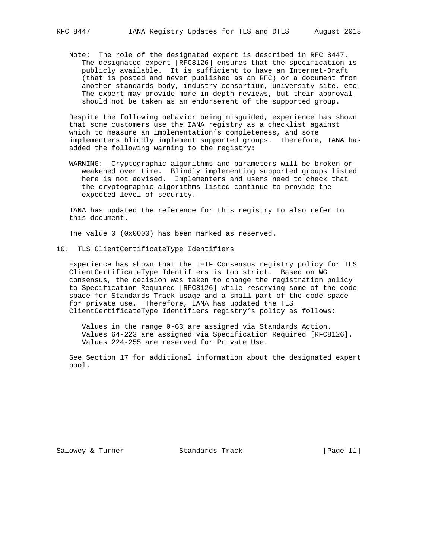Note: The role of the designated expert is described in RFC 8447. The designated expert [RFC8126] ensures that the specification is publicly available. It is sufficient to have an Internet-Draft (that is posted and never published as an RFC) or a document from another standards body, industry consortium, university site, etc. The expert may provide more in-depth reviews, but their approval should not be taken as an endorsement of the supported group.

 Despite the following behavior being misguided, experience has shown that some customers use the IANA registry as a checklist against which to measure an implementation's completeness, and some implementers blindly implement supported groups. Therefore, IANA has added the following warning to the registry:

 WARNING: Cryptographic algorithms and parameters will be broken or weakened over time. Blindly implementing supported groups listed here is not advised. Implementers and users need to check that the cryptographic algorithms listed continue to provide the expected level of security.

 IANA has updated the reference for this registry to also refer to this document.

The value 0 (0x0000) has been marked as reserved.

10. TLS ClientCertificateType Identifiers

 Experience has shown that the IETF Consensus registry policy for TLS ClientCertificateType Identifiers is too strict. Based on WG consensus, the decision was taken to change the registration policy to Specification Required [RFC8126] while reserving some of the code space for Standards Track usage and a small part of the code space for private use. Therefore, IANA has updated the TLS ClientCertificateType Identifiers registry's policy as follows:

 Values in the range 0-63 are assigned via Standards Action. Values 64-223 are assigned via Specification Required [RFC8126]. Values 224-255 are reserved for Private Use.

 See Section 17 for additional information about the designated expert pool.

Salowey & Turner Standards Track [Page 11]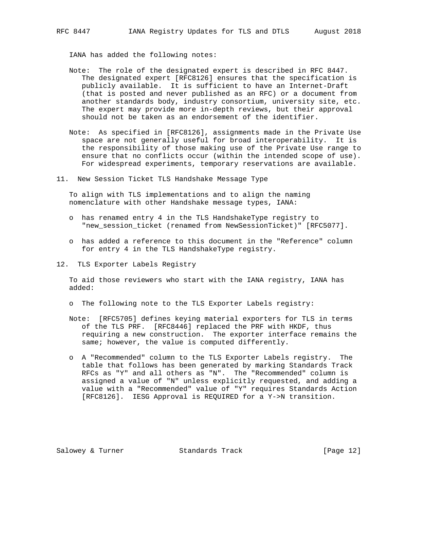IANA has added the following notes:

- Note: The role of the designated expert is described in RFC 8447. The designated expert [RFC8126] ensures that the specification is publicly available. It is sufficient to have an Internet-Draft (that is posted and never published as an RFC) or a document from another standards body, industry consortium, university site, etc. The expert may provide more in-depth reviews, but their approval should not be taken as an endorsement of the identifier.
- Note: As specified in [RFC8126], assignments made in the Private Use space are not generally useful for broad interoperability. It is the responsibility of those making use of the Private Use range to ensure that no conflicts occur (within the intended scope of use). For widespread experiments, temporary reservations are available.
- 11. New Session Ticket TLS Handshake Message Type

 To align with TLS implementations and to align the naming nomenclature with other Handshake message types, IANA:

- o has renamed entry 4 in the TLS HandshakeType registry to "new\_session\_ticket (renamed from NewSessionTicket)" [RFC5077].
- o has added a reference to this document in the "Reference" column for entry 4 in the TLS HandshakeType registry.
- 12. TLS Exporter Labels Registry

 To aid those reviewers who start with the IANA registry, IANA has added:

- o The following note to the TLS Exporter Labels registry:
- Note: [RFC5705] defines keying material exporters for TLS in terms of the TLS PRF. [RFC8446] replaced the PRF with HKDF, thus requiring a new construction. The exporter interface remains the same; however, the value is computed differently.
- o A "Recommended" column to the TLS Exporter Labels registry. The table that follows has been generated by marking Standards Track RFCs as "Y" and all others as "N". The "Recommended" column is assigned a value of "N" unless explicitly requested, and adding a value with a "Recommended" value of "Y" requires Standards Action [RFC8126]. IESG Approval is REQUIRED for a Y->N transition.

Salowey & Turner Standards Track [Page 12]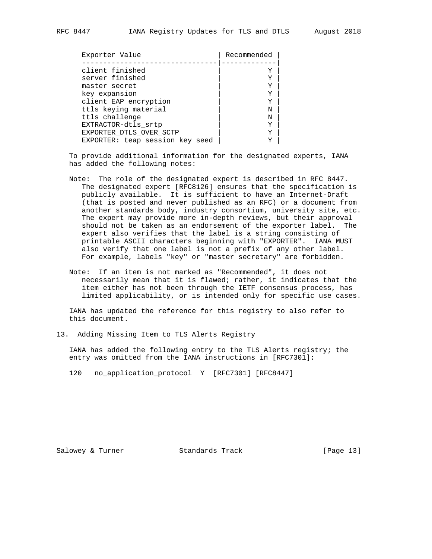| Exporter Value                  | Recommended |
|---------------------------------|-------------|
|                                 |             |
| client finished                 |             |
| server finished                 | Y           |
| master secret                   | Y           |
| key expansion                   | Y           |
| client EAP encryption           | Y           |
| ttls keying material            | Ν           |
| ttls challenge                  | N           |
| EXTRACTOR-dtls srtp             | Y           |
| EXPORTER DTLS OVER SCTP         |             |
| EXPORTER: teap session key seed |             |

 To provide additional information for the designated experts, IANA has added the following notes:

- Note: The role of the designated expert is described in RFC 8447. The designated expert [RFC8126] ensures that the specification is publicly available. It is sufficient to have an Internet-Draft (that is posted and never published as an RFC) or a document from another standards body, industry consortium, university site, etc. The expert may provide more in-depth reviews, but their approval should not be taken as an endorsement of the exporter label. The expert also verifies that the label is a string consisting of printable ASCII characters beginning with "EXPORTER". IANA MUST also verify that one label is not a prefix of any other label. For example, labels "key" or "master secretary" are forbidden.
- Note: If an item is not marked as "Recommended", it does not necessarily mean that it is flawed; rather, it indicates that the item either has not been through the IETF consensus process, has limited applicability, or is intended only for specific use cases.

 IANA has updated the reference for this registry to also refer to this document.

13. Adding Missing Item to TLS Alerts Registry

 IANA has added the following entry to the TLS Alerts registry; the entry was omitted from the IANA instructions in [RFC7301]:

120 no\_application\_protocol Y [RFC7301] [RFC8447]

Salowey & Turner Standards Track [Page 13]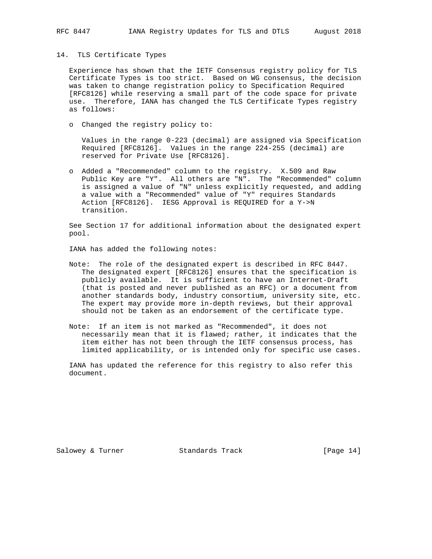#### 14. TLS Certificate Types

 Experience has shown that the IETF Consensus registry policy for TLS Certificate Types is too strict. Based on WG consensus, the decision was taken to change registration policy to Specification Required [RFC8126] while reserving a small part of the code space for private use. Therefore, IANA has changed the TLS Certificate Types registry as follows:

o Changed the registry policy to:

 Values in the range 0-223 (decimal) are assigned via Specification Required [RFC8126]. Values in the range 224-255 (decimal) are reserved for Private Use [RFC8126].

 o Added a "Recommended" column to the registry. X.509 and Raw Public Key are "Y". All others are "N". The "Recommended" column is assigned a value of "N" unless explicitly requested, and adding a value with a "Recommended" value of "Y" requires Standards Action [RFC8126]. IESG Approval is REQUIRED for a Y->N transition.

 See Section 17 for additional information about the designated expert pool.

IANA has added the following notes:

- Note: The role of the designated expert is described in RFC 8447. The designated expert [RFC8126] ensures that the specification is publicly available. It is sufficient to have an Internet-Draft (that is posted and never published as an RFC) or a document from another standards body, industry consortium, university site, etc. The expert may provide more in-depth reviews, but their approval should not be taken as an endorsement of the certificate type.
- Note: If an item is not marked as "Recommended", it does not necessarily mean that it is flawed; rather, it indicates that the item either has not been through the IETF consensus process, has limited applicability, or is intended only for specific use cases.

 IANA has updated the reference for this registry to also refer this document.

Salowey & Turner Standards Track [Page 14]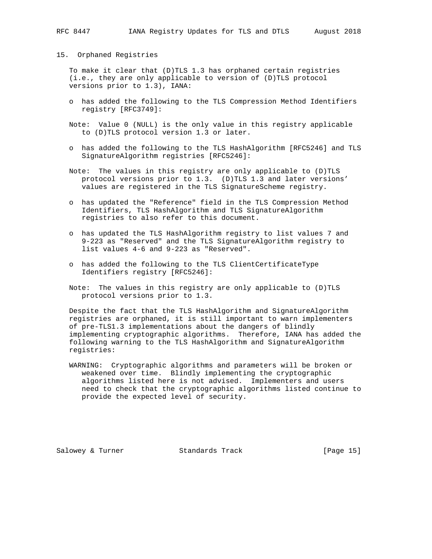#### 15. Orphaned Registries

 To make it clear that (D)TLS 1.3 has orphaned certain registries (i.e., they are only applicable to version of (D)TLS protocol versions prior to 1.3), IANA:

- o has added the following to the TLS Compression Method Identifiers registry [RFC3749]:
- Note: Value 0 (NULL) is the only value in this registry applicable to (D)TLS protocol version 1.3 or later.
- o has added the following to the TLS HashAlgorithm [RFC5246] and TLS SignatureAlgorithm registries [RFC5246]:
- Note: The values in this registry are only applicable to (D)TLS protocol versions prior to 1.3. (D)TLS 1.3 and later versions' values are registered in the TLS SignatureScheme registry.
- o has updated the "Reference" field in the TLS Compression Method Identifiers, TLS HashAlgorithm and TLS SignatureAlgorithm registries to also refer to this document.
- o has updated the TLS HashAlgorithm registry to list values 7 and 9-223 as "Reserved" and the TLS SignatureAlgorithm registry to list values 4-6 and 9-223 as "Reserved".
- o has added the following to the TLS ClientCertificateType Identifiers registry [RFC5246]:
- Note: The values in this registry are only applicable to (D)TLS protocol versions prior to 1.3.

 Despite the fact that the TLS HashAlgorithm and SignatureAlgorithm registries are orphaned, it is still important to warn implementers of pre-TLS1.3 implementations about the dangers of blindly implementing cryptographic algorithms. Therefore, IANA has added the following warning to the TLS HashAlgorithm and SignatureAlgorithm registries:

 WARNING: Cryptographic algorithms and parameters will be broken or weakened over time. Blindly implementing the cryptographic algorithms listed here is not advised. Implementers and users need to check that the cryptographic algorithms listed continue to provide the expected level of security.

Salowey & Turner Standards Track [Page 15]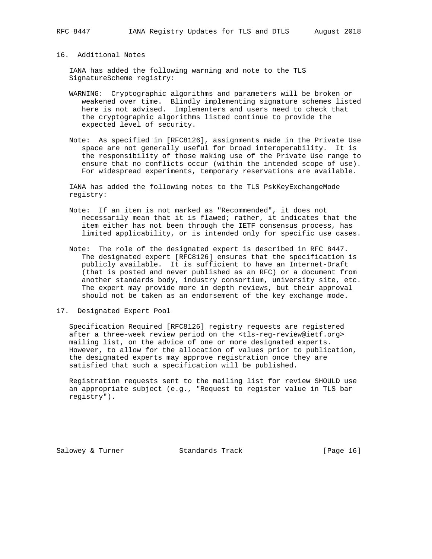16. Additional Notes

 IANA has added the following warning and note to the TLS SignatureScheme registry:

- WARNING: Cryptographic algorithms and parameters will be broken or weakened over time. Blindly implementing signature schemes listed here is not advised. Implementers and users need to check that the cryptographic algorithms listed continue to provide the expected level of security.
- Note: As specified in [RFC8126], assignments made in the Private Use space are not generally useful for broad interoperability. It is the responsibility of those making use of the Private Use range to ensure that no conflicts occur (within the intended scope of use). For widespread experiments, temporary reservations are available.

 IANA has added the following notes to the TLS PskKeyExchangeMode registry:

- Note: If an item is not marked as "Recommended", it does not necessarily mean that it is flawed; rather, it indicates that the item either has not been through the IETF consensus process, has limited applicability, or is intended only for specific use cases.
- Note: The role of the designated expert is described in RFC 8447. The designated expert [RFC8126] ensures that the specification is publicly available. It is sufficient to have an Internet-Draft (that is posted and never published as an RFC) or a document from another standards body, industry consortium, university site, etc. The expert may provide more in depth reviews, but their approval should not be taken as an endorsement of the key exchange mode.
- 17. Designated Expert Pool

 Specification Required [RFC8126] registry requests are registered after a three-week review period on the <tls-reg-review@ietf.org> mailing list, on the advice of one or more designated experts. However, to allow for the allocation of values prior to publication, the designated experts may approve registration once they are satisfied that such a specification will be published.

 Registration requests sent to the mailing list for review SHOULD use an appropriate subject (e.g., "Request to register value in TLS bar registry").

Salowey & Turner Standards Track [Page 16]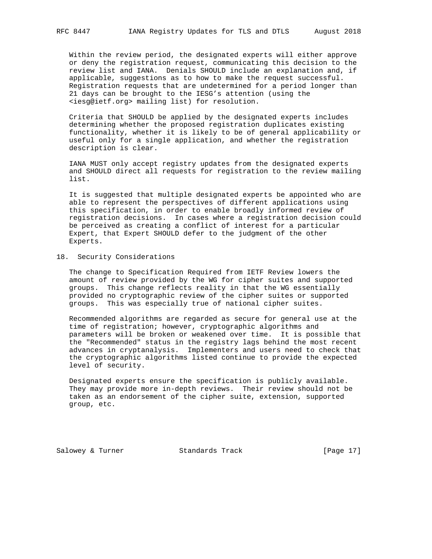Within the review period, the designated experts will either approve or deny the registration request, communicating this decision to the review list and IANA. Denials SHOULD include an explanation and, if applicable, suggestions as to how to make the request successful. Registration requests that are undetermined for a period longer than 21 days can be brought to the IESG's attention (using the <iesg@ietf.org> mailing list) for resolution.

 Criteria that SHOULD be applied by the designated experts includes determining whether the proposed registration duplicates existing functionality, whether it is likely to be of general applicability or useful only for a single application, and whether the registration description is clear.

 IANA MUST only accept registry updates from the designated experts and SHOULD direct all requests for registration to the review mailing list.

 It is suggested that multiple designated experts be appointed who are able to represent the perspectives of different applications using this specification, in order to enable broadly informed review of registration decisions. In cases where a registration decision could be perceived as creating a conflict of interest for a particular Expert, that Expert SHOULD defer to the judgment of the other Experts.

### 18. Security Considerations

 The change to Specification Required from IETF Review lowers the amount of review provided by the WG for cipher suites and supported groups. This change reflects reality in that the WG essentially provided no cryptographic review of the cipher suites or supported groups. This was especially true of national cipher suites.

 Recommended algorithms are regarded as secure for general use at the time of registration; however, cryptographic algorithms and parameters will be broken or weakened over time. It is possible that the "Recommended" status in the registry lags behind the most recent advances in cryptanalysis. Implementers and users need to check that the cryptographic algorithms listed continue to provide the expected level of security.

 Designated experts ensure the specification is publicly available. They may provide more in-depth reviews. Their review should not be taken as an endorsement of the cipher suite, extension, supported group, etc.

Salowey & Turner Standards Track [Page 17]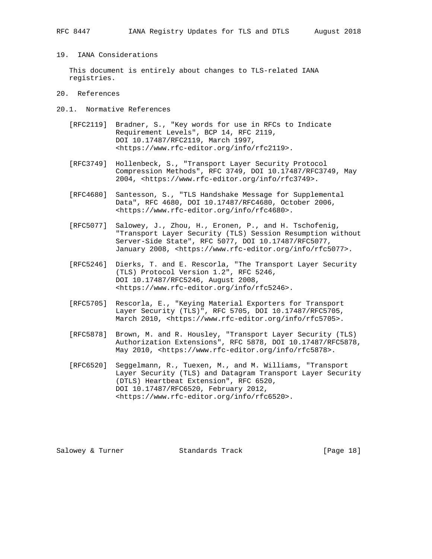## 19. IANA Considerations

 This document is entirely about changes to TLS-related IANA registries.

- 20. References
- 20.1. Normative References
	- [RFC2119] Bradner, S., "Key words for use in RFCs to Indicate Requirement Levels", BCP 14, RFC 2119, DOI 10.17487/RFC2119, March 1997, <https://www.rfc-editor.org/info/rfc2119>.
	- [RFC3749] Hollenbeck, S., "Transport Layer Security Protocol Compression Methods", RFC 3749, DOI 10.17487/RFC3749, May 2004, <https://www.rfc-editor.org/info/rfc3749>.
	- [RFC4680] Santesson, S., "TLS Handshake Message for Supplemental Data", RFC 4680, DOI 10.17487/RFC4680, October 2006, <https://www.rfc-editor.org/info/rfc4680>.
	- [RFC5077] Salowey, J., Zhou, H., Eronen, P., and H. Tschofenig, "Transport Layer Security (TLS) Session Resumption without Server-Side State", RFC 5077, DOI 10.17487/RFC5077, January 2008, <https://www.rfc-editor.org/info/rfc5077>.
	- [RFC5246] Dierks, T. and E. Rescorla, "The Transport Layer Security (TLS) Protocol Version 1.2", RFC 5246, DOI 10.17487/RFC5246, August 2008, <https://www.rfc-editor.org/info/rfc5246>.
	- [RFC5705] Rescorla, E., "Keying Material Exporters for Transport Layer Security (TLS)", RFC 5705, DOI 10.17487/RFC5705, March 2010, <https://www.rfc-editor.org/info/rfc5705>.
- [RFC5878] Brown, M. and R. Housley, "Transport Layer Security (TLS) Authorization Extensions", RFC 5878, DOI 10.17487/RFC5878, May 2010, <https://www.rfc-editor.org/info/rfc5878>.
	- [RFC6520] Seggelmann, R., Tuexen, M., and M. Williams, "Transport Layer Security (TLS) and Datagram Transport Layer Security (DTLS) Heartbeat Extension", RFC 6520, DOI 10.17487/RFC6520, February 2012, <https://www.rfc-editor.org/info/rfc6520>.

Salowey & Turner Standards Track [Page 18]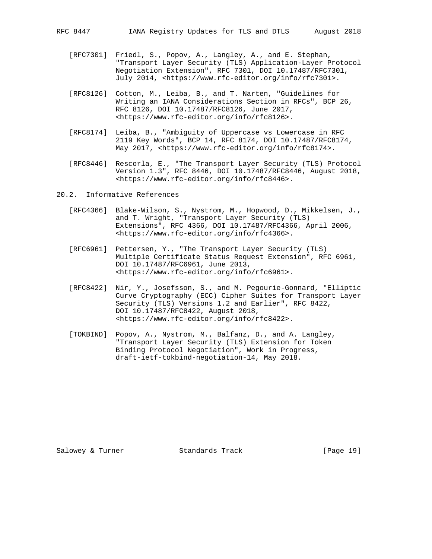- [RFC7301] Friedl, S., Popov, A., Langley, A., and E. Stephan, "Transport Layer Security (TLS) Application-Layer Protocol Negotiation Extension", RFC 7301, DOI 10.17487/RFC7301, July 2014, <https://www.rfc-editor.org/info/rfc7301>.
- [RFC8126] Cotton, M., Leiba, B., and T. Narten, "Guidelines for Writing an IANA Considerations Section in RFCs", BCP 26, RFC 8126, DOI 10.17487/RFC8126, June 2017, <https://www.rfc-editor.org/info/rfc8126>.
- [RFC8174] Leiba, B., "Ambiguity of Uppercase vs Lowercase in RFC 2119 Key Words", BCP 14, RFC 8174, DOI 10.17487/RFC8174, May 2017, <https://www.rfc-editor.org/info/rfc8174>.
- [RFC8446] Rescorla, E., "The Transport Layer Security (TLS) Protocol Version 1.3", RFC 8446, DOI 10.17487/RFC8446, August 2018, <https://www.rfc-editor.org/info/rfc8446>.

20.2. Informative References

- [RFC4366] Blake-Wilson, S., Nystrom, M., Hopwood, D., Mikkelsen, J., and T. Wright, "Transport Layer Security (TLS) Extensions", RFC 4366, DOI 10.17487/RFC4366, April 2006, <https://www.rfc-editor.org/info/rfc4366>.
- [RFC6961] Pettersen, Y., "The Transport Layer Security (TLS) Multiple Certificate Status Request Extension", RFC 6961, DOI 10.17487/RFC6961, June 2013, <https://www.rfc-editor.org/info/rfc6961>.
- [RFC8422] Nir, Y., Josefsson, S., and M. Pegourie-Gonnard, "Elliptic Curve Cryptography (ECC) Cipher Suites for Transport Layer Security (TLS) Versions 1.2 and Earlier", RFC 8422, DOI 10.17487/RFC8422, August 2018, <https://www.rfc-editor.org/info/rfc8422>.
- [TOKBIND] Popov, A., Nystrom, M., Balfanz, D., and A. Langley, "Transport Layer Security (TLS) Extension for Token Binding Protocol Negotiation", Work in Progress, draft-ietf-tokbind-negotiation-14, May 2018.

Salowey & Turner Standards Track [Page 19]